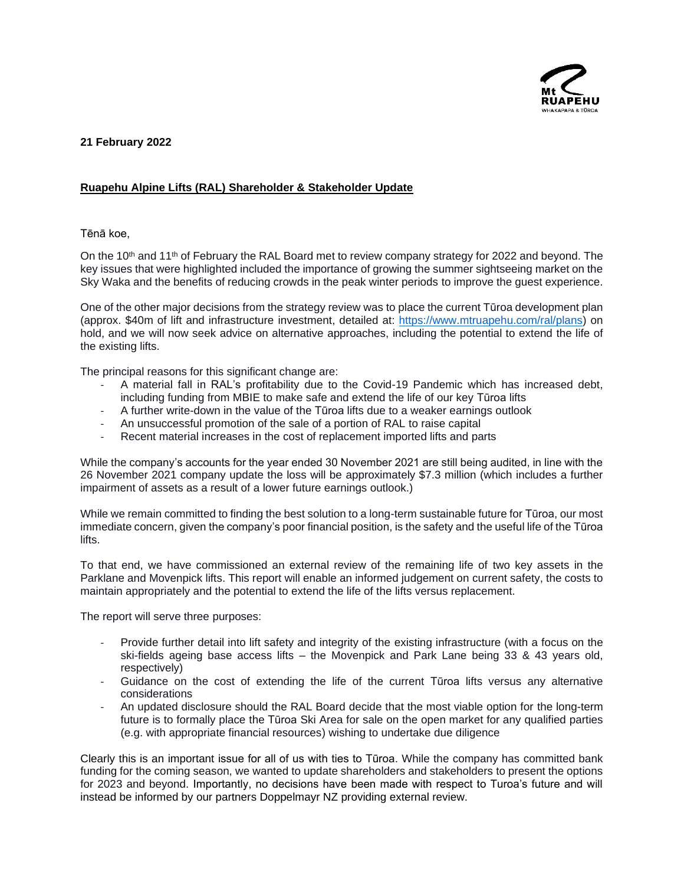

**21 February 2022**

## **Ruapehu Alpine Lifts (RAL) Shareholder & Stakeholder Update**

## Tēnā koe,

On the 10<sup>th</sup> and 11<sup>th</sup> of February the RAL Board met to review company strategy for 2022 and beyond. The key issues that were highlighted included the importance of growing the summer sightseeing market on the Sky Waka and the benefits of reducing crowds in the peak winter periods to improve the guest experience.

One of the other major decisions from the strategy review was to place the current Tūroa development plan (approx. \$40m of lift and infrastructure investment, detailed at: [https://www.mtruapehu.com/ral/plans\)](https://www.mtruapehu.com/ral/plans) on hold, and we will now seek advice on alternative approaches, including the potential to extend the life of the existing lifts.

The principal reasons for this significant change are:

- A material fall in RAL's profitability due to the Covid-19 Pandemic which has increased debt, including funding from MBIE to make safe and extend the life of our key Tūroa lifts
- A further write-down in the value of the Tūroa lifts due to a weaker earnings outlook
- An unsuccessful promotion of the sale of a portion of RAL to raise capital
- Recent material increases in the cost of replacement imported lifts and parts

While the company's accounts for the year ended 30 November 2021 are still being audited, in line with the 26 November 2021 company update the loss will be approximately \$7.3 million (which includes a further impairment of assets as a result of a lower future earnings outlook.)

While we remain committed to finding the best solution to a long-term sustainable future for Tūroa, our most immediate concern, given the company's poor financial position, is the safety and the useful life of the Tūroa lifts.

To that end, we have commissioned an external review of the remaining life of two key assets in the Parklane and Movenpick lifts. This report will enable an informed judgement on current safety, the costs to maintain appropriately and the potential to extend the life of the lifts versus replacement.

The report will serve three purposes:

- Provide further detail into lift safety and integrity of the existing infrastructure (with a focus on the ski-fields ageing base access lifts – the Movenpick and Park Lane being 33 & 43 years old, respectively)
- Guidance on the cost of extending the life of the current Tūroa lifts versus any alternative considerations
- An updated disclosure should the RAL Board decide that the most viable option for the long-term future is to formally place the Tūroa Ski Area for sale on the open market for any qualified parties (e.g. with appropriate financial resources) wishing to undertake due diligence

Clearly this is an important issue for all of us with ties to Tūroa. While the company has committed bank funding for the coming season, we wanted to update shareholders and stakeholders to present the options for 2023 and beyond. Importantly, no decisions have been made with respect to Turoa's future and will instead be informed by our partners Doppelmayr NZ providing external review.